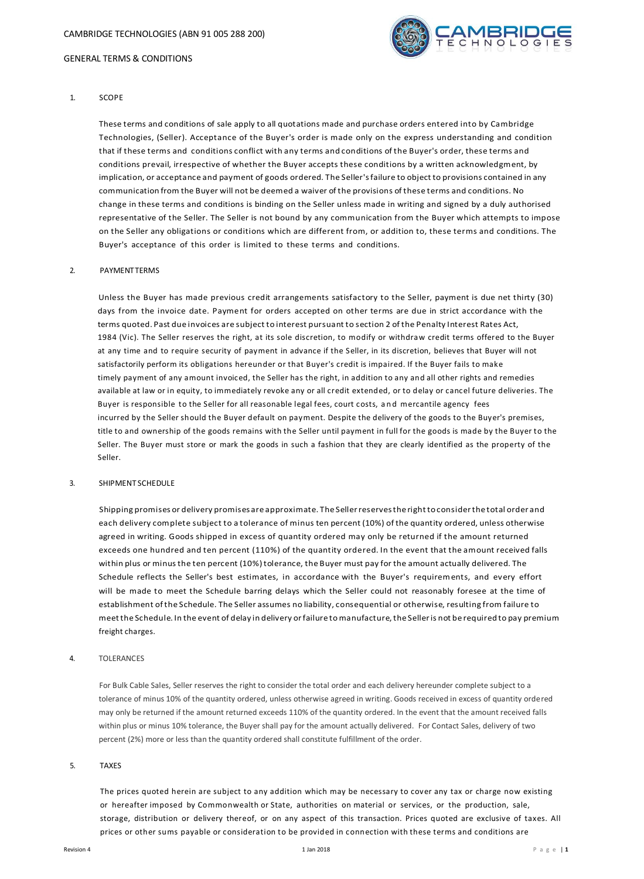

## 1. SCOPE

These terms and conditions of sale apply to all quotations made and purchase orders entered into by Cambridge Technologies, (Seller). Acceptance of the Buyer's order is made only on the express understanding and condition that if these terms and conditions conflict with any terms and conditions of the Buyer's order, these terms and conditions prevail, irrespective of whether the Buyer accepts these conditions by a written acknowledgment, by implication, or acceptance and payment of goods ordered. The Seller'sfailure to object to provisions contained in any communication from the Buyer will not be deemed a waiver of the provisions of these terms and conditions. No change in these terms and conditions is binding on the Seller unless made in writing and signed by a duly authorised representative of the Seller. The Seller is not bound by any communication from the Buyer which attempts to impose on the Seller any obligations or conditions which are different from, or addition to, these terms and conditions. The Buyer's acceptance of this order is limited to these terms and conditions.

### 2. PAYMENTTERMS

Unless the Buyer has made previous credit arrangements satisfactory to the Seller, payment is due net thirty (30) days from the invoice date. Payment for orders accepted on other terms are due in strict accordance with the terms quoted. Past due invoices are subject to interest pursuant to section 2 of the Penalty Interest Rates Act, 1984 (Vic). The Seller reserves the right, at its sole discretion, to modify or withdraw credit terms offered to the Buyer at any time and to require security of payment in advance if the Seller, in its discretion, believes that Buyer will not satisfactorily perform its obligations hereunder or that Buyer's credit is impaired. If the Buyer fails to make timely payment of any amount invoiced, the Seller has the right, in addition to any and all other rights and remedies available at law or in equity, to immediately revoke any or all credit extended, or to delay or cancel future deliveries. The Buyer is responsible to the Seller for all reasonable legal fees, court costs, a n d mercantile agency fees incurred by the Seller should the Buyer default on payment. Despite the delivery of the goods to the Buyer's premises, title to and ownership of the goods remains with the Seller until payment in full for the goods is made by the Buyer to the Seller. The Buyer must store or mark the goods in such a fashion that they are clearly identified as the property of the Seller.

## 3. SHIPMENT SCHEDULE

Shipping promises or delivery promises are approximate. The Sellerreservesthe righttoconsiderthe total order and each delivery complete subject to a tolerance of minus ten percent (10%) of the quantity ordered, unless otherwise agreed in writing. Goods shipped in excess of quantity ordered may only be returned if the amount returned exceeds one hundred and ten percent (110%) of the quantity ordered. In the event that the amount received falls within plus or minusthe ten percent (10%)tolerance, the Buyer must pay for the amount actually delivered. The Schedule reflects the Seller's best estimates, in accordance with the Buyer's requirements, and every effort will be made to meet the Schedule barring delays which the Seller could not reasonably foresee at the time of establishment ofthe Schedule. The Seller assumes no liability, consequential or otherwise, resulting from failure to meet the Schedule. In the event of delay in delivery or failure to manufacture, the Seller is not be required to pay premium freight charges.

### 4. TOLERANCES

For Bulk Cable Sales, Seller reserves the right to consider the total order and each delivery hereunder complete subject to a tolerance of minus 10% of the quantity ordered, unless otherwise agreed in writing. Goods received in excess of quantity ordered may only be returned if the amount returned exceeds 110% of the quantity ordered. In the event that the amount received falls within plus or minus 10% tolerance, the Buyer shall pay for the amount actually delivered. For Contact Sales, delivery of two percent (2%) more or less than the quantity ordered shall constitute fulfillment of the order.

#### 5. TAXES

The prices quoted herein are subject to any addition which may be necessary to cover any tax or charge now existing or hereafter imposed by Commonwealth or State, authorities on material or services, or the production, sale, storage, distribution or delivery thereof, or on any aspect of this transaction. Prices quoted are exclusive of taxes. All prices or other sums payable or consideration to be provided in connection with these terms and conditions are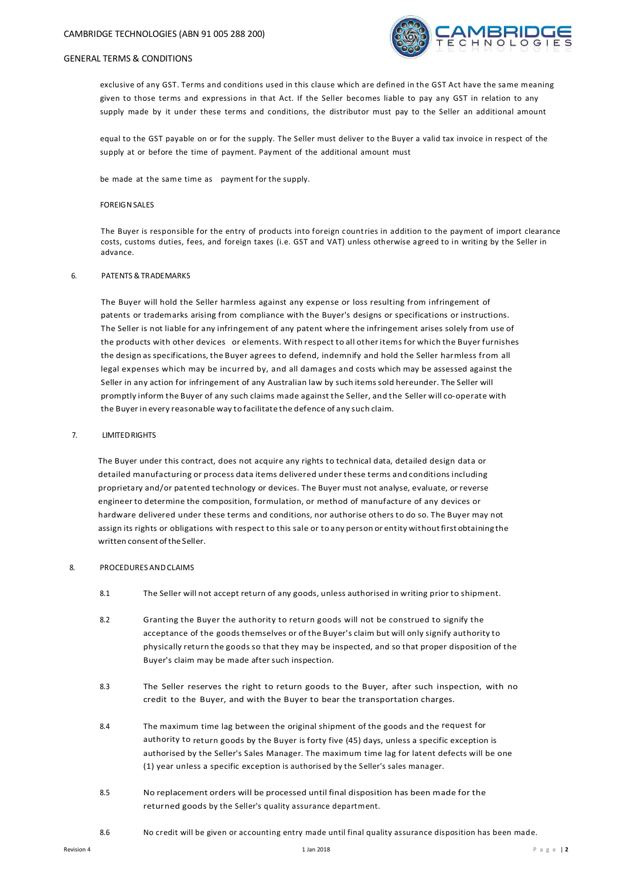

exclusive of any GST. Terms and conditions used in this clause which are defined in the GST Act have the same meaning given to those terms and expressions in that Act. If the Seller becomes liable to pay any GST in relation to any supply made by it under these terms and conditions, the distributor must pay to the Seller an additional amount

equal to the GST payable on or for the supply. The Seller must deliver to the Buyer a valid tax invoice in respect of the supply at or before the time of payment. Payment of the additional amount must

be made at the same time as payment for the supply.

## **FOREIGN SALES**

The Buyer is responsible for the entry of products into foreign countries in addition to the payment of import clearance costs, customs duties, fees, and foreign taxes (i.e. GST and VAT) unless otherwise agreed to in writing by the Seller in advance.

### 6. PATENTS &TRADEMARKS

The Buyer will hold the Seller harmless against any expense or loss resulting from infringement of patents or trademarks arising from compliance with the Buyer's designs or specifications or instructions. The Seller is not liable for any infringement of any patent where the infringement arises solely from use of the products with other devices or elements. With respect to all otheritems for which the Buyer furnishes the design as specifications, the Buyer agrees to defend, indemnify and hold the Seller harmless from all legal expenses which may be incurred by, and all damages and costs which may be assessed against the Seller in any action for infringement of any Australian law by such itemssold hereunder. The Seller will promptly inform the Buyer of any such claims made against the Seller, and the Seller will co-operate with the Buyer in every reasonable way to facilitate the defence of any such claim.

### 7. LIMITEDRIGHTS

The Buyer under this contract, does not acquire any rights to technical data, detailed design data or detailed manufacturing or process data items delivered under these terms and conditions including proprietary and/or patented technology or devices. The Buyer must not analyse, evaluate, or reverse engineer to determine the composition, formulation, or method of manufacture of any devices or hardware delivered under these terms and conditions, nor authorise others to do so. The Buyer may not assign its rights or obligations with respect to this sale or toany person or entity withoutfirst obtaining the written consent of the Seller.

## 8. PROCEDURES ANDCLAIMS

- 8.1 The Seller will not accept return of any goods, unless authorised in writing prior to shipment.
- 8.2 Granting the Buyer the authority to return goods will not be construed to signify the acceptance of the goods themselves or of the Buyer's claim but will only signify authority to physically return the goods so that they may be inspected, and so that proper disposition of the Buyer's claim may be made after such inspection.
- 8.3 The Seller reserves the right to return goods to the Buyer, after such inspection, with no credit to the Buyer, and with the Buyer to bear the transportation charges.
- 8.4 The maximum time lag between the original shipment of the goods and the request for authority to return goods by the Buyer is forty five (45) days, unless a specific exception is authorised by the Seller's Sales Manager. The maximum time lag for latent defects will be one (1) year unless a specific exception is authorised by the Seller's sales manager.
- 8.5 No replacement orders will be processed until final disposition has been made for the returned goods by the Seller's quality assurance department.
- 8.6 No credit will be given or accounting entry made until final quality assurance disposition has been made.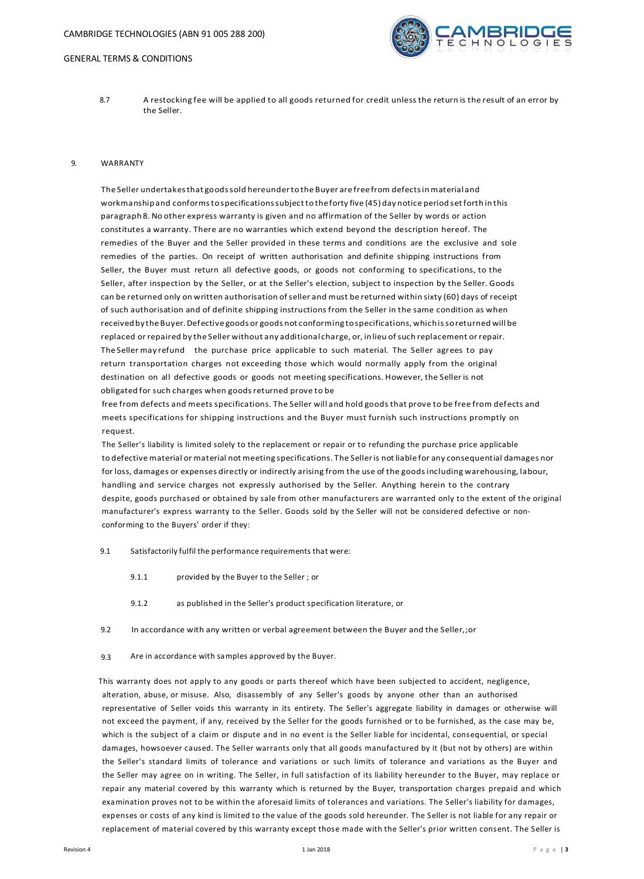

8.7 A restocking fee will be applied to all goods returned for credit unless the return is the result of an error by the Seller.

### 9. WARRANTY

The Seller undertakesthat goodssold hereunderto the Buyer are free from defectsin materialand workmanship and conformstospecificationssubjecttotheforty five (45)day notice period setforth in this paragraph 8. No other express warranty is given and no affirmation of the Seller by words or action constitutes a warranty. There are no warranties which extend beyond the description hereof. The remedies of the Buyer and the Seller provided in these terms and conditions are the exclusive and sole remedies of the parties. On receipt of written authorisation and definite shipping instructions from Seller, the Buyer must return all defective goods, or goods not conforming to specifications, to the Seller, after inspection by the Seller, or at the Seller's election, subject to inspection by the Seller. Goods can be returned only on written authorisation ofseller and must be returned within sixty (60) days of receipt of such authorisation and of definite shipping instructions from the Seller in the same condition as when received by the Buyer. Defective goods or goods not conforming to specifications, which is soreturned will be replaced orrepaired by the Seller without any additional charge, or, in lieu ofsuch replacement orrepair. The Seller may refund the purchase price applicable to such material. The Seller agrees to pay return transportation charges not exceeding those which would normally apply from the original destination on all defective goods or goods not meeting specifications. However, the Selleris not obligated for such charges when goodsreturned prove to be

free from defects and meets specifications. The Seller will and hold goods that prove to be free from defects and meets specifications for shipping instructions and the Buyer must furnish such instructions promptly on request.

The Seller's liability is limited solely to the replacement or repair or to refunding the purchase price applicable to defective material or material not meeting specifications. The Selleris not liable for any consequential damages nor for loss, damages or expenses directly or indirectly arising from the use of the goodsincluding warehousing, labour, handling and service charges not expressly authorised by the Seller. Anything herein to the contrary despite, goods purchased or obtained by sale from other manufacturers are warranted only to the extent of the original manufacturer's express warranty to the Seller. Goods sold by the Seller will not be considered defective or nonconforming to the Buyers' order if they:

- 9.1 Satisfactorily fulfil the performance requirements that were:
	- 9.1.1 provided by the Buyer to the Seller ; or
	- 9.1.2 as published in the Seller's product specification literature, or
- 9.2 In accordance with any written or verbal agreement between the Buyer and the Seller,;or
- 9.3 Are in accordance with samples approved by the Buyer.

This warranty does not apply to any goods or parts thereof which have been subjected to accident, negligence, alteration, abuse, or misuse. Also, disassembly of any Seller's goods by anyone other than an authorised representative of Seller voids this warranty in its entirety. The Seller's aggregate liability in damages or otherwise will not exceed the payment, if any, received by the Seller for the goods furnished or to be furnished, as the case may be, which is the subject of a claim or dispute and in no event is the Seller liable for incidental, consequential, or special damages, howsoever caused. The Seller warrants only that all goods manufactured by it (but not by others) are within the Seller's standard limits of tolerance and variations or such limits of tolerance and variations as the Buyer and the Seller may agree on in writing. The Seller, in full satisfaction of its liability hereunder to the Buyer, may replace or repair any material covered by this warranty which is returned by the Buyer, transportation charges prepaid and which examination proves not to be within the aforesaid limits of tolerances and variations. The Seller's liability for damages, expenses or costs of any kind is limited to the value of the goods sold hereunder. The Seller is not liable for any repair or replacement of material covered by this warranty except those made with the Seller's prior written consent. The Seller is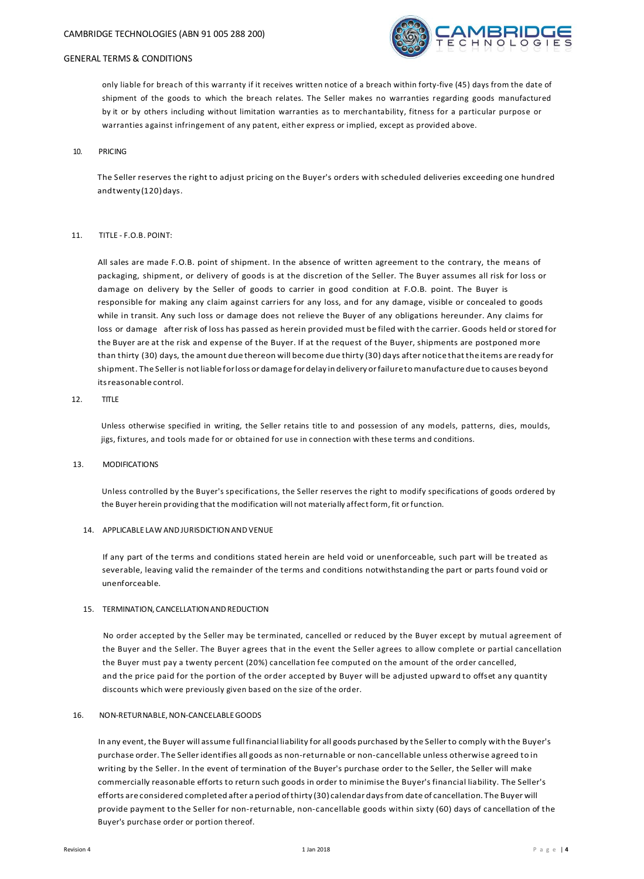

only liable for breach of this warranty if it receives written notice of a breach within forty-five (45) days from the date of shipment of the goods to which the breach relates. The Seller makes no warranties regarding goods manufactured by it or by others including without limitation warranties as to merchantability, fitness for a particular purpose or warranties against infringement of any patent, either express or implied, except as provided above.

### 10. PRICING

The Seller reserves the right to adjust pricing on the Buyer's orders with scheduled deliveries exceeding one hundred andtwenty (120) days.

### 11. TITLE - F.O.B. POINT:

All sales are made F.O.B. point of shipment. In the absence of written agreement to the contrary, the means of packaging, shipment, or delivery of goods is at the discretion of the Seller. The Buyer assumes all risk for loss or damage on delivery by the Seller of goods to carrier in good condition at F.O.B. point. The Buyer is responsible for making any claim against carriers for any loss, and for any damage, visible or concealed to goods while in transit. Any such loss or damage does not relieve the Buyer of any obligations hereunder. Any claims for loss or damage after risk of loss has passed as herein provided must be filed with the carrier. Goods held or stored for the Buyer are at the risk and expense of the Buyer. If at the request of the Buyer, shipments are postponed more than thirty (30) days, the amount due thereon will become due thirty (30) days after notice that the items are ready for shipment. The Seller is not liable for loss or damage for delay in delivery or failure to manufacture due to causes beyond itsreasonable control.

## 12. TITLE

Unless otherwise specified in writing, the Seller retains title to and possession of any models, patterns, dies, moulds, jigs, fixtures, and tools made for or obtained for use in connection with these terms and conditions.

### 13. MODIFICATIONS

Unless controlled by the Buyer's specifications, the Seller reserves the right to modify specifications of goods ordered by the Buyer herein providing that the modification will not materially affectform, fit orfunction.

## 14. APPLICABLE LAW ANDJURISDICTIONANDVENUE

If any part of the terms and conditions stated herein are held void or unenforceable, such part will be treated as severable, leaving valid the remainder of the terms and conditions notwithstanding the part or parts found void or unenforceable.

#### 15. TERMINATION, CANCELLATIONANDREDUCTION

No order accepted by the Seller may be terminated, cancelled or reduced by the Buyer except by mutual agreement of the Buyer and the Seller. The Buyer agrees that in the event the Seller agrees to allow complete or partial cancellation the Buyer must pay a twenty percent (20%) cancellation fee computed on the amount of the order cancelled, and the price paid for the portion of the order accepted by Buyer will be adjusted upward to offset any quantity discounts which were previously given based on the size of the order.

## 16. NON-RETURNABLE,NON-CANCELABLEGOODS

In any event, the Buyer will assume fullfinancial liability for all goods purchased by the Sellerto comply with the Buyer's purchase order. The Seller identifies all goods as non-returnable or non-cancellable unless otherwise agreed to in writing by the Seller. In the event of termination of the Buyer's purchase order to the Seller, the Seller will make commercially reasonable efforts to return such goods in order to minimise the Buyer's financial liability. The Seller's efforts are considered completed after a period ofthirty (30) calendar daysfrom date of cancellation. The Buyer will provide payment to the Seller for non-returnable, non-cancellable goods within sixty (60) days of cancellation of the Buyer's purchase order or portion thereof.